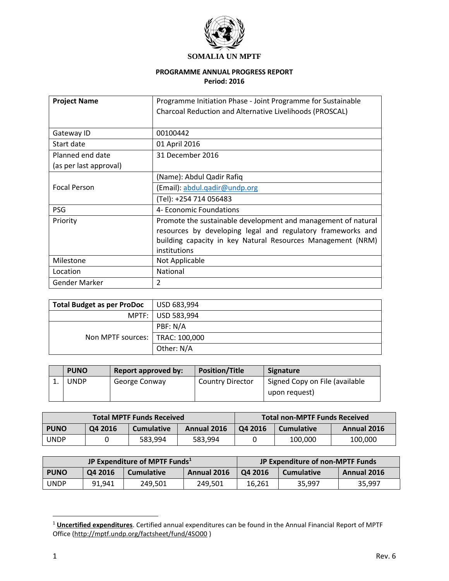

#### **PROGRAMME ANNUAL PROGRESS REPORT Period: 2016**

| <b>Project Name</b>    | Programme Initiation Phase - Joint Programme for Sustainable<br>Charcoal Reduction and Alternative Livelihoods (PROSCAL)                                                                                    |
|------------------------|-------------------------------------------------------------------------------------------------------------------------------------------------------------------------------------------------------------|
| Gateway ID             | 00100442                                                                                                                                                                                                    |
| Start date             | 01 April 2016                                                                                                                                                                                               |
| Planned end date       | 31 December 2016                                                                                                                                                                                            |
| (as per last approval) |                                                                                                                                                                                                             |
|                        | (Name): Abdul Qadir Rafiq                                                                                                                                                                                   |
| <b>Focal Person</b>    | (Email): abdul.qadir@undp.org                                                                                                                                                                               |
|                        | (Tel): +254 714 056483                                                                                                                                                                                      |
| <b>PSG</b>             | 4- Economic Foundations                                                                                                                                                                                     |
| Priority               | Promote the sustainable development and management of natural<br>resources by developing legal and regulatory frameworks and<br>building capacity in key Natural Resources Management (NRM)<br>institutions |
| Milestone              | Not Applicable                                                                                                                                                                                              |
| Location               | National                                                                                                                                                                                                    |
| Gender Marker          | 2                                                                                                                                                                                                           |

| <b>Total Budget as per ProDoc</b> | $\mid$ USD 683,994 |
|-----------------------------------|--------------------|
|                                   | MPTF: USD 583,994  |
| Non MPTF sources:   TRAC: 100,000 | PBF: N/A           |
|                                   |                    |
|                                   | Other: N/A         |

| <b>PUNO</b> | Report approved by: | <b>Position/Title</b>   | Signature                                       |
|-------------|---------------------|-------------------------|-------------------------------------------------|
| JNDP        | George Conway       | <b>Country Director</b> | Signed Copy on File (available<br>upon request) |

| <b>Total MPTF Funds Received</b> |         |                   |             | <b>Total non-MPTF Funds Received</b> |                   |             |
|----------------------------------|---------|-------------------|-------------|--------------------------------------|-------------------|-------------|
| <b>PUNO</b>                      | Q4 2016 | <b>Cumulative</b> | Annual 2016 | O <sub>4</sub> 2016                  | <b>Cumulative</b> | Annual 2016 |
| UNDP                             |         | 583.994           | 583.994     |                                      | 100.000           | 100,000     |

| JP Expenditure of MPTF Funds <sup>1</sup> |         |                   |             | JP Expenditure of non-MPTF Funds |                   |             |
|-------------------------------------------|---------|-------------------|-------------|----------------------------------|-------------------|-------------|
| <b>PUNO</b>                               | Q4 2016 | <b>Cumulative</b> | Annual 2016 | O <sub>4</sub> 2016              | <b>Cumulative</b> | Annual 2016 |
| <b>UNDP</b>                               | 91.941  | 249.501           | 249,501     | 16.261                           | 35.997            | 35.997      |

 $\overline{a}$ 

<sup>1</sup> **Uncertified expenditures**. Certified annual expenditures can be found in the Annual Financial Report of MPTF Office [\(http://mptf.undp.org/factsheet/fund/4SO00](http://mptf.undp.org/factsheet/fund/4SO00) )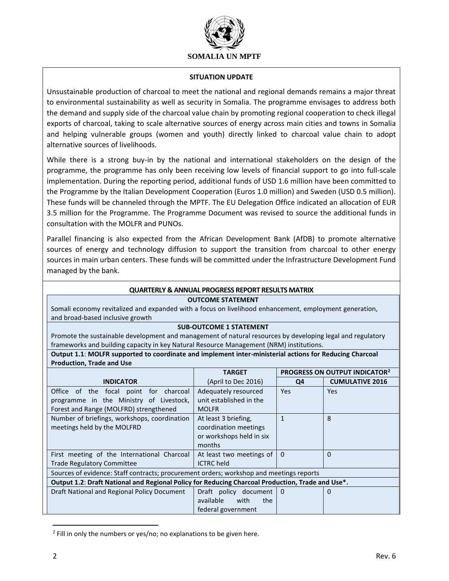

#### **SITUATION UPDATE**

Unsustainable production of charcoal to meet the national and regional demands remains a major threat to environmental sustainability as well as security in Somalia. The programme envisages to address both the demand and supply side of the charcoal value chain by promoting regional cooperation to check illegal exports of charcoal, taking to scale alternative sources of energy across main cities and towns in Somalia and helping vulnerable groups (women and youth) directly linked to charcoal value chain to adopt alternative sources of livelihoods.

While there is a strong buy-in by the national and international stakeholders on the design of the programme, the programme has only been receiving low levels of financial support to go into full-scale implementation. During the reporting period, additional funds of USD 1.6 million have been committed to the Programme by the Italian Development Cooperation (Euros 1.0 million) and Sweden (USD 0.5 million). These funds will be channeled through the MPTF. The EU Delegation Office indicated an allocation of EUR 3.5 million for the Programme. The Programme Document was revised to source the additional funds in consultation with the MOLFR and PUNOs.

Parallel financing is also expected from the African Development Bank (AfDB) to promote alternative sources of energy and technology diffusion to support the transition from charcoal to other energy sources in main urban centers. These funds will be committed under the Infrastructure Development Fund managed by the bank.

## **QUARTERLY & ANNUAL PROGRESS REPORT RESULTS MATRIX**

#### **OUTCOME STATEMENT**

Somali economy revitalized and expanded with a focus on livelihood enhancement, employment generation, and broad-based inclusive growth

#### **SUB-OUTCOME 1 STATEMENT**

Promote the sustainable development and management of natural resources by developing legal and regulatory frameworks and building capacity in key Natural Resource Management (NRM) institutions.

**Output 1.1**: **MOLFR supported to coordinate and implement inter-ministerial actions for Reducing Charcoal Production, Trade and Use**

|                                                                                                  | <b>TARGET</b>            |          | PROGRESS ON OUTPUT INDICATOR <sup>2</sup> |  |
|--------------------------------------------------------------------------------------------------|--------------------------|----------|-------------------------------------------|--|
| <b>INDICATOR</b>                                                                                 | (April to Dec 2016)      | Q4       | <b>CUMULATIVE 2016</b>                    |  |
| Office of the focal point for charcoal                                                           | Adequately resourced     | Yes      | Yes                                       |  |
| programme in the Ministry of Livestock,                                                          | unit established in the  |          |                                           |  |
| Forest and Range (MOLFRD) strengthened                                                           | <b>MOLFR</b>             |          |                                           |  |
| Number of briefings, workshops, coordination                                                     | At least 3 briefing,     | 1        | 8                                         |  |
| meetings held by the MOLFRD                                                                      | coordination meetings    |          |                                           |  |
|                                                                                                  | or workshops held in six |          |                                           |  |
|                                                                                                  | months                   |          |                                           |  |
| First meeting of the International Charcoal                                                      | At least two meetings of | $\Omega$ | $\Omega$                                  |  |
| <b>Trade Regulatory Committee</b>                                                                | <b>ICTRC</b> held        |          |                                           |  |
| Sources of evidence: Staff contracts; procurement orders; workshop and meetings reports          |                          |          |                                           |  |
| Output 1.2: Draft National and Regional Policy for Reducing Charcoal Production, Trade and Use*. |                          |          |                                           |  |
| Draft National and Regional Policy Document                                                      | Draft policy document    | $\Omega$ | 0                                         |  |
|                                                                                                  | available<br>with<br>the |          |                                           |  |
|                                                                                                  | federal government       |          |                                           |  |

<sup>&</sup>lt;sup>2</sup> Fill in only the numbers or yes/no; no explanations to be given here.

 $\overline{\phantom{a}}$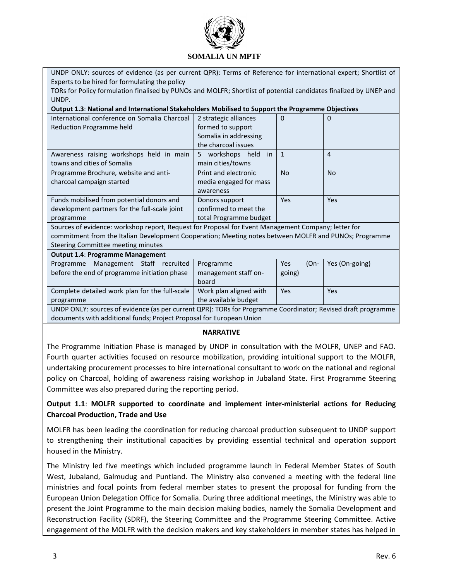

UNDP ONLY: sources of evidence (as per current QPR): Terms of Reference for international expert; Shortlist of Experts to be hired for formulating the policy

TORs for Policy formulation finalised by PUNOs and MOLFR; Shortlist of potential candidates finalized by UNEP and UNDP.

| International conference on Somalia Charcoal                                                          | 2 strategic alliances      | $\Omega$       | 0          |  |  |
|-------------------------------------------------------------------------------------------------------|----------------------------|----------------|------------|--|--|
| Reduction Programme held                                                                              | formed to support          |                |            |  |  |
|                                                                                                       | Somalia in addressing      |                |            |  |  |
|                                                                                                       | the charcoal issues        |                |            |  |  |
| Awareness raising workshops held in main                                                              | workshops held<br>5.<br>in | $\overline{1}$ | 4          |  |  |
| towns and cities of Somalia                                                                           | main cities/towns          |                |            |  |  |
| Programme Brochure, website and anti-                                                                 | Print and electronic       | <b>No</b>      | <b>No</b>  |  |  |
| charcoal campaign started                                                                             | media engaged for mass     |                |            |  |  |
|                                                                                                       | awareness                  |                |            |  |  |
| Funds mobilised from potential donors and                                                             | Donors support             | Yes            | <b>Yes</b> |  |  |
| development partners for the full-scale joint                                                         | confirmed to meet the      |                |            |  |  |
| programme                                                                                             | total Programme budget     |                |            |  |  |
| Sources of evidence: workshop report, Request for Proposal for Event Management Company; letter for   |                            |                |            |  |  |
| commitment from the Italian Development Cooperation; Meeting notes between MOLFR and PUNOs; Programme |                            |                |            |  |  |
| Steering Committee meeting minutes                                                                    |                            |                |            |  |  |

#### **Output 1.4**: **Programme Management** Programme Management Staff recruited before the end of programme initiation phase Programme management staff onboard Yes (Ongoing) Yes (On-going) Complete detailed work plan for the full-scale programme Work plan aligned with the available budget Yes Yes UNDP ONLY: sources of evidence (as per current QPR): TORs for Programme Coordinator; Revised draft programme documents with additional funds; Project Proposal for European Union

#### **NARRATIVE**

The Programme Initiation Phase is managed by UNDP in consultation with the MOLFR, UNEP and FAO. Fourth quarter activities focused on resource mobilization, providing intuitional support to the MOLFR, undertaking procurement processes to hire international consultant to work on the national and regional policy on Charcoal, holding of awareness raising workshop in Jubaland State. First Programme Steering Committee was also prepared during the reporting period.

## **Output 1.1**: **MOLFR supported to coordinate and implement inter-ministerial actions for Reducing Charcoal Production, Trade and Use**

MOLFR has been leading the coordination for reducing charcoal production subsequent to UNDP support to strengthening their institutional capacities by providing essential technical and operation support housed in the Ministry.

The Ministry led five meetings which included programme launch in Federal Member States of South West, Jubaland, Galmudug and Puntland. The Ministry also convened a meeting with the federal line ministries and focal points from federal member states to present the proposal for funding from the European Union Delegation Office for Somalia. During three additional meetings, the Ministry was able to present the Joint Programme to the main decision making bodies, namely the Somalia Development and Reconstruction Facility (SDRF), the Steering Committee and the Programme Steering Committee. Active engagement of the MOLFR with the decision makers and key stakeholders in member states has helped in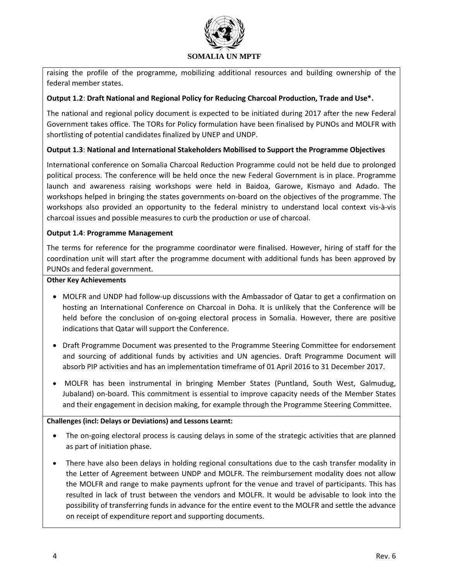

raising the profile of the programme, mobilizing additional resources and building ownership of the federal member states.

## **Output 1.2**: **Draft National and Regional Policy for Reducing Charcoal Production, Trade and Use\*.**

The national and regional policy document is expected to be initiated during 2017 after the new Federal Government takes office. The TORs for Policy formulation have been finalised by PUNOs and MOLFR with shortlisting of potential candidates finalized by UNEP and UNDP.

## **Output 1.3**: **National and International Stakeholders Mobilised to Support the Programme Objectives**

International conference on Somalia Charcoal Reduction Programme could not be held due to prolonged political process. The conference will be held once the new Federal Government is in place. Programme launch and awareness raising workshops were held in Baidoa, Garowe, Kismayo and Adado. The workshops helped in bringing the states governments on-board on the objectives of the programme. The workshops also provided an opportunity to the federal ministry to understand local context vis-à-vis charcoal issues and possible measures to curb the production or use of charcoal.

## **Output 1.4**: **Programme Management**

The terms for reference for the programme coordinator were finalised. However, hiring of staff for the coordination unit will start after the programme document with additional funds has been approved by PUNOs and federal government.

## **Other Key Achievements**

- MOLFR and UNDP had follow-up discussions with the Ambassador of Qatar to get a confirmation on hosting an International Conference on Charcoal in Doha. It is unlikely that the Conference will be held before the conclusion of on-going electoral process in Somalia. However, there are positive indications that Qatar will support the Conference.
- Draft Programme Document was presented to the Programme Steering Committee for endorsement and sourcing of additional funds by activities and UN agencies. Draft Programme Document will absorb PIP activities and has an implementation timeframe of 01 April 2016 to 31 December 2017.
- MOLFR has been instrumental in bringing Member States (Puntland, South West, Galmudug, Jubaland) on-board. This commitment is essential to improve capacity needs of the Member States and their engagement in decision making, for example through the Programme Steering Committee.

## **Challenges (incl: Delays or Deviations) and Lessons Learnt:**

- The on-going electoral process is causing delays in some of the strategic activities that are planned as part of initiation phase.
- There have also been delays in holding regional consultations due to the cash transfer modality in the Letter of Agreement between UNDP and MOLFR. The reimbursement modality does not allow the MOLFR and range to make payments upfront for the venue and travel of participants. This has resulted in lack of trust between the vendors and MOLFR. It would be advisable to look into the possibility of transferring funds in advance for the entire event to the MOLFR and settle the advance on receipt of expenditure report and supporting documents.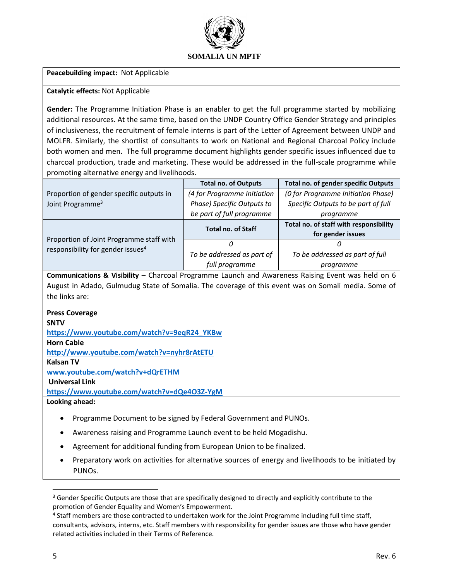

**Peacebuilding impact:** Not Applicable

### **Catalytic effects:** Not Applicable

**Gender:** The Programme Initiation Phase is an enabler to get the full programme started by mobilizing additional resources. At the same time, based on the UNDP Country Office Gender Strategy and principles of inclusiveness, the recruitment of female interns is part of the Letter of Agreement between UNDP and MOLFR. Similarly, the shortlist of consultants to work on National and Regional Charcoal Policy include both women and men. The full programme document highlights gender specific issues influenced due to charcoal production, trade and marketing. These would be addressed in the full-scale programme while promoting alternative energy and livelihoods.

|                                               | <b>Total no. of Outputs</b> | Total no. of gender specific Outputs   |
|-----------------------------------------------|-----------------------------|----------------------------------------|
| Proportion of gender specific outputs in      | (4 for Programme Initiation | (0 for Programme Initiation Phase)     |
| Joint Programme <sup>3</sup>                  | Phase) Specific Outputs to  | Specific Outputs to be part of full    |
|                                               | be part of full programme   | programme                              |
|                                               | <b>Total no. of Staff</b>   | Total no. of staff with responsibility |
| Proportion of Joint Programme staff with      |                             | for gender issues                      |
| responsibility for gender issues <sup>4</sup> | 0                           |                                        |
|                                               | To be addressed as part of  | To be addressed as part of full        |
|                                               | full programme              | programme                              |

**Communications & Visibility** – Charcoal Programme Launch and Awareness Raising Event was held on 6 August in Adado, Gulmudug State of Somalia. The coverage of this event was on Somali media. Some of the links are:

## **Press Coverage**

#### **SNTV**

**[https://www.youtube.com/watch?v=9eqR24\\_YKBw](https://www.youtube.com/watch?v=9eqR24_YKBw)**

**Horn Cable**

**<http://www.youtube.com/watch?v=nyhr8rAtETU>**

#### **Kalsan TV**

**[www.youtube.com/watch?v+dQrETHM](http://www.youtube.com/watch?v+dQrETHM)**

#### **Universal Link**

**<https://www.youtube.com/watch?v=dQe4O3Z-YgM>**

**Looking ahead:**

- Programme Document to be signed by Federal Government and PUNOs.
- Awareness raising and Programme Launch event to be held Mogadishu.
- Agreement for additional funding from European Union to be finalized.
- Preparatory work on activities for alternative sources of energy and livelihoods to be initiated by PUNOs.

 $\overline{\phantom{a}}$ 

<sup>&</sup>lt;sup>3</sup> Gender Specific Outputs are those that are specifically designed to directly and explicitly contribute to the promotion of Gender Equality and Women's Empowerment.

<sup>&</sup>lt;sup>4</sup> Staff members are those contracted to undertaken work for the Joint Programme including full time staff, consultants, advisors, interns, etc. Staff members with responsibility for gender issues are those who have gender related activities included in their Terms of Reference.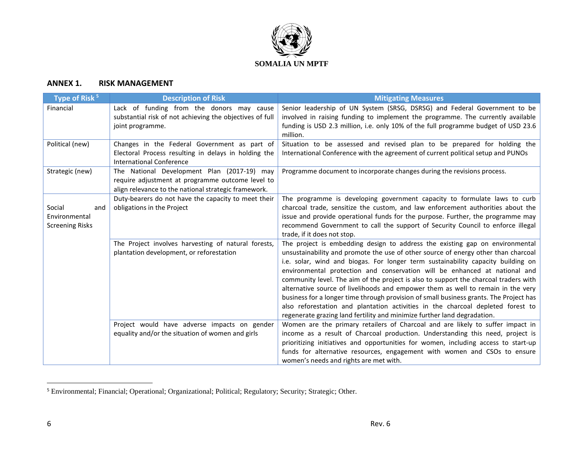

# **ANNEX 1. RISK MANAGEMENT**

| Type of Risk <sup>5</sup>                                | <b>Description of Risk</b>                                                                                                                              | <b>Mitigating Measures</b>                                                                                                                                                                                                                                                                                                                                                                                                                                                                                                                                                                                                                                                                                                                                                |
|----------------------------------------------------------|---------------------------------------------------------------------------------------------------------------------------------------------------------|---------------------------------------------------------------------------------------------------------------------------------------------------------------------------------------------------------------------------------------------------------------------------------------------------------------------------------------------------------------------------------------------------------------------------------------------------------------------------------------------------------------------------------------------------------------------------------------------------------------------------------------------------------------------------------------------------------------------------------------------------------------------------|
| Financial                                                | Lack of funding from the donors may cause<br>substantial risk of not achieving the objectives of full<br>joint programme.                               | Senior leadership of UN System (SRSG, DSRSG) and Federal Government to be<br>involved in raising funding to implement the programme. The currently available<br>funding is USD 2.3 million, i.e. only 10% of the full programme budget of USD 23.6<br>million.                                                                                                                                                                                                                                                                                                                                                                                                                                                                                                            |
| Political (new)                                          | Changes in the Federal Government as part of<br>Electoral Process resulting in delays in holding the<br><b>International Conference</b>                 | Situation to be assessed and revised plan to be prepared for holding the<br>International Conference with the agreement of current political setup and PUNOs                                                                                                                                                                                                                                                                                                                                                                                                                                                                                                                                                                                                              |
| Strategic (new)                                          | The National Development Plan (2017-19) may<br>require adjustment at programme outcome level to<br>align relevance to the national strategic framework. | Programme document to incorporate changes during the revisions process.                                                                                                                                                                                                                                                                                                                                                                                                                                                                                                                                                                                                                                                                                                   |
| Social<br>and<br>Environmental<br><b>Screening Risks</b> | Duty-bearers do not have the capacity to meet their<br>obligations in the Project                                                                       | The programme is developing government capacity to formulate laws to curb<br>charcoal trade, sensitize the custom, and law enforcement authorities about the<br>issue and provide operational funds for the purpose. Further, the programme may<br>recommend Government to call the support of Security Council to enforce illegal<br>trade, if it does not stop.                                                                                                                                                                                                                                                                                                                                                                                                         |
|                                                          | The Project involves harvesting of natural forests,<br>plantation development, or reforestation                                                         | The project is embedding design to address the existing gap on environmental<br>unsustainability and promote the use of other source of energy other than charcoal<br>i.e. solar, wind and biogas. For longer term sustainability capacity building on<br>environmental protection and conservation will be enhanced at national and<br>community level. The aim of the project is also to support the charcoal traders with<br>alternative source of livelihoods and empower them as well to remain in the very<br>business for a longer time through provision of small business grants. The Project has<br>also reforestation and plantation activities in the charcoal depleted forest to<br>regenerate grazing land fertility and minimize further land degradation. |
|                                                          | Project would have adverse impacts on gender<br>equality and/or the situation of women and girls                                                        | Women are the primary retailers of Charcoal and are likely to suffer impact in<br>income as a result of Charcoal production. Understanding this need, project is<br>prioritizing initiatives and opportunities for women, including access to start-up<br>funds for alternative resources, engagement with women and CSOs to ensure<br>women's needs and rights are met with.                                                                                                                                                                                                                                                                                                                                                                                             |

<sup>&</sup>lt;sup>5</sup> Environmental; Financial; Operational; Organizational; Political; Regulatory; Security; Strategic; Other.

 $\overline{a}$